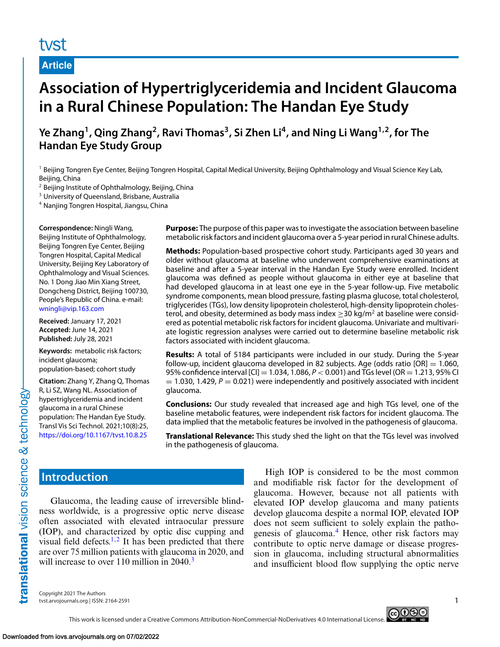# tyst

**Article**

# **Association of Hypertriglyceridemia and Incident Glaucoma in a Rural Chinese Population: The Handan Eye Study**

Ye Zhang<sup>1</sup>, Qing Zhang<sup>2</sup>, Ravi Thomas<sup>3</sup>, Si Zhen Li<sup>4</sup>, and Ning Li Wang<sup>1,2</sup>, for The **Handan Eye Study Group**

<sup>1</sup> Beijing Tongren Eye Center, Beijing Tongren Hospital, Capital Medical University, Beijing Ophthalmology and Visual Science Key Lab, Beijing, China

<sup>2</sup> Beijing Institute of Ophthalmology, Beijing, China

<sup>3</sup> University of Queensland, Brisbane, Australia

<sup>4</sup> Nanjing Tongren Hospital, Jiangsu, China

**Correspondence:** Ningli Wang, Beijing Institute of Ophthalmology, Beijing Tongren Eye Center, Beijing Tongren Hospital, Capital Medical University, Beijing Key Laboratory of Ophthalmology and Visual Sciences. No. 1 Dong Jiao Min Xiang Street, Dongcheng District, Beijing 100730, People's Republic of China. e-mail: [wningli@vip.163.com](mailto:wningli@vip.163.com)

**Received:** January 17, 2021 **Accepted:** June 14, 2021 **Published:** July 28, 2021

**Keywords:** metabolic risk factors; incident glaucoma; population-based; cohort study

**Citation:** Zhang Y, Zhang Q, Thomas R, Li SZ, Wang NL. Association of hypertriglyceridemia and incident glaucoma in a rural Chinese population: The Handan Eye Study. Transl Vis Sci Technol. 2021;10(8):25, <https://doi.org/10.1167/tvst.10.8.25>

**Purpose:** The purpose of this paper was to investigate the association between baseline metabolic risk factors and incident glaucoma over a 5-year period in rural Chinese adults.

**Methods:** Population-based prospective cohort study. Participants aged 30 years and older without glaucoma at baseline who underwent comprehensive examinations at baseline and after a 5-year interval in the Handan Eye Study were enrolled. Incident glaucoma was defined as people without glaucoma in either eye at baseline that had developed glaucoma in at least one eye in the 5-year follow-up. Five metabolic syndrome components, mean blood pressure, fasting plasma glucose, total cholesterol, triglycerides (TGs), low density lipoprotein cholesterol, high-density lipoprotein cholesterol, and obesity, determined as body mass index  $\geq$  30 kg/m<sup>2</sup> at baseline were considered as potential metabolic risk factors for incident glaucoma. Univariate and multivariate logistic regression analyses were carried out to determine baseline metabolic risk factors associated with incident glaucoma.

**Results:** A total of 5184 participants were included in our study. During the 5-year follow-up, incident glaucoma developed in 82 subjects. Age (odds ratio  $[OR] = 1.060$ , 95% confidence interval [CI] <sup>=</sup> 1.034, 1.086, *<sup>P</sup>* <sup>&</sup>lt; 0.001) and TGs level (OR <sup>=</sup> 1.213, 95% CI  $= 1.030$ , 1.429,  $P = 0.021$ ) were independently and positively associated with incident glaucoma.

**Conclusions:** Our study revealed that increased age and high TGs level, one of the baseline metabolic features, were independent risk factors for incident glaucoma. The data implied that the metabolic features be involved in the pathogenesis of glaucoma.

**Translational Relevance:** This study shed the light on that the TGs level was involved in the pathogenesis of glaucoma.

# **Introduction**

Glaucoma, the leading cause of irreversible blindness worldwide, is a progressive optic nerve disease often associated with elevated intraocular pressure (IOP), and characterized by optic disc cupping and visual field defects.<sup>1,2</sup> It has been predicted that there are over 75 million patients with glaucoma in 2020, and will increase to over 110 million in 2040.<sup>[3](#page-8-0)</sup>

High IOP is considered to be the most common and modifiable risk factor for the development of glaucoma. However, because not all patients with elevated IOP develop glaucoma and many patients develop glaucoma despite a normal IOP, elevated IOP does not seem sufficient to solely explain the pathogenesis of glaucoma.[4](#page-8-0) Hence, other risk factors may contribute to optic nerve damage or disease progression in glaucoma, including structural abnormalities and insufficient blood flow supplying the optic nerve

Copyright 2021 The Authors tvst.arvojournals.org | ISSN: 2164-2591 1

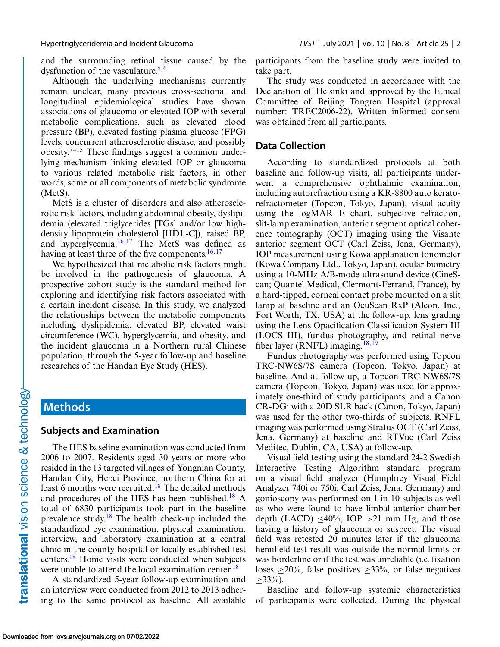and the surrounding retinal tissue caused by the dysfunction of the vasculature.<sup>5,6</sup>

Although the underlying mechanisms currently remain unclear, many previous cross-sectional and longitudinal epidemiological studies have shown associations of glaucoma or elevated IOP with several metabolic complications, such as elevated blood pressure (BP), elevated fasting plasma glucose (FPG) levels, concurrent atherosclerotic disease, and possibly obesity.<sup>[7–15](#page-8-0)</sup> These findings suggest a common underlying mechanism linking elevated IOP or glaucoma to various related metabolic risk factors, in other words, some or all components of metabolic syndrome (MetS).

MetS is a cluster of disorders and also atherosclerotic risk factors, including abdominal obesity, dyslipidemia (elevated triglycerides [TGs] and/or low highdensity lipoprotein cholesterol [HDL-C]), raised BP, and hyperglycemia. $16,17$  $16,17$  The MetS was defined as having at least three of the five components. $16,17$  $16,17$ 

We hypothesized that metabolic risk factors might be involved in the pathogenesis of glaucoma. A prospective cohort study is the standard method for exploring and identifying risk factors associated with a certain incident disease. In this study, we analyzed the relationships between the metabolic components including dyslipidemia, elevated BP, elevated waist circumference (WC), hyperglycemia, and obesity, and the incident glaucoma in a Northern rural Chinese population, through the 5-year follow-up and baseline researches of the Handan Eye Study (HES).

## **Methods**

#### **Subjects and Examination**

The HES baseline examination was conducted from 2006 to 2007. Residents aged 30 years or more who resided in the 13 targeted villages of Yongnian County, Handan City, Hebei Province, northern China for at least 6 months were recruited.<sup>18</sup> The detailed methods and procedures of the HES has been published[.18](#page-9-0) A total of 6830 participants took part in the baseline prevalence study.<sup>[18](#page-9-0)</sup> The health check-up included the standardized eye examination, physical examination, interview, and laboratory examination at a central clinic in the county hospital or locally established test centers[.18](#page-9-0) Home visits were conducted when subjects were unable to attend the local examination center.<sup>[18](#page-9-0)</sup>

A standardized 5-year follow-up examination and an interview were conducted from 2012 to 2013 adhering to the same protocol as baseline. All available participants from the baseline study were invited to take part.

The study was conducted in accordance with the Declaration of Helsinki and approved by the Ethical Committee of Beijing Tongren Hospital (approval number: TREC2006-22). Written informed consent was obtained from all participants.

#### **Data Collection**

According to standardized protocols at both baseline and follow-up visits, all participants underwent a comprehensive ophthalmic examination, including autorefraction using a KR-8800 auto keratorefractometer (Topcon, Tokyo, Japan), visual acuity using the logMAR E chart, subjective refraction, slit-lamp examination, anterior segment optical coherence tomography (OCT) imaging using the Visante anterior segment OCT (Carl Zeiss, Jena, Germany), IOP measurement using Kowa applanation tonometer (Kowa Company Ltd., Tokyo, Japan), ocular biometry using a 10-MHz A/B-mode ultrasound device (CineScan; Quantel Medical, Clermont-Ferrand, France), by a hard-tipped, corneal contact probe mounted on a slit lamp at baseline and an OcuScan RxP (Alcon, Inc., Fort Worth, TX, USA) at the follow-up, lens grading using the Lens Opacification Classification System III (LOCS III), fundus photography, and retinal nerve fiber layer (RNFL) imaging. $18,19$ 

Fundus photography was performed using Topcon TRC-NW6S/7S camera (Topcon, Tokyo, Japan) at baseline. And at follow-up, a Topcon TRC-NW6S/7S camera (Topcon, Tokyo, Japan) was used for approximately one-third of study participants, and a Canon CR-DGi with a 20D SLR back (Canon, Tokyo, Japan) was used for the other two-thirds of subjects. RNFL imaging was performed using Stratus OCT (Carl Zeiss, Jena, Germany) at baseline and RTVue (Carl Zeiss Meditec, Dublin, CA, USA) at follow-up.

Visual field testing using the standard 24-2 Swedish Interactive Testing Algorithm standard program on a visual field analyzer (Humphrey Visual Field Analyzer 740i or 750i; Carl Zeiss, Jena, Germany) and gonioscopy was performed on 1 in 10 subjects as well as who were found to have limbal anterior chamber depth (LACD)  $\leq 40\%$ , IOP > 21 mm Hg, and those having a history of glaucoma or suspect. The visual field was retested 20 minutes later if the glaucoma hemifield test result was outside the normal limits or was borderline or if the test was unreliable (i.e. fixation loses  $\geq$ 20%, false positives  $\geq$ 33%, or false negatives  $>33\%$ ).

Baseline and follow-up systemic characteristics of participants were collected. During the physical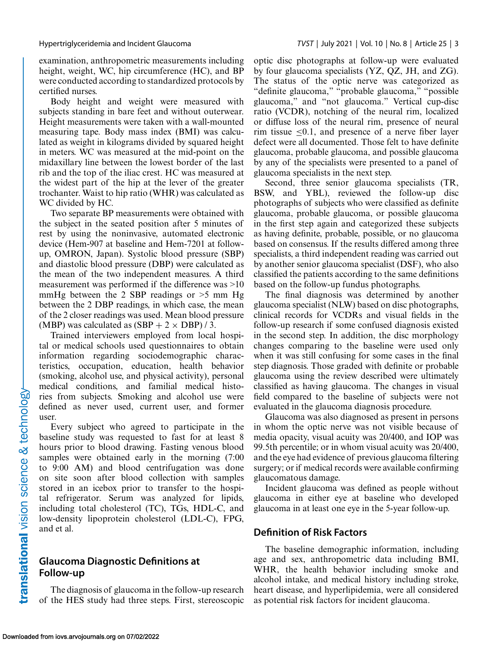examination, anthropometric measurements including height, weight, WC, hip circumference (HC), and BP were conducted according to standardized protocols by certified nurses.

Body height and weight were measured with subjects standing in bare feet and without outerwear. Height measurements were taken with a wall-mounted measuring tape. Body mass index (BMI) was calculated as weight in kilograms divided by squared height in meters. WC was measured at the mid-point on the midaxillary line between the lowest border of the last rib and the top of the iliac crest. HC was measured at the widest part of the hip at the lever of the greater trochanter. Waist to hip ratio (WHR) was calculated as WC divided by HC.

Two separate BP measurements were obtained with the subject in the seated position after 5 minutes of rest by using the noninvasive, automated electronic device (Hem-907 at baseline and Hem-7201 at followup, OMRON, Japan). Systolic blood pressure (SBP) and diastolic blood pressure (DBP) were calculated as the mean of the two independent measures. A third measurement was performed if the difference was  $>10$ mmHg between the 2 SBP readings or  $>5$  mm Hg between the 2 DBP readings, in which case, the mean of the 2 closer readings was used. Mean blood pressure (MBP) was calculated as  $(SBP + 2 \times DBP)/3$ .

Trained interviewers employed from local hospital or medical schools used questionnaires to obtain information regarding sociodemographic characteristics, occupation, education, health behavior (smoking, alcohol use, and physical activity), personal medical conditions, and familial medical histories from subjects. Smoking and alcohol use were defined as never used, current user, and former user.

Every subject who agreed to participate in the baseline study was requested to fast for at least 8 hours prior to blood drawing. Fasting venous blood samples were obtained early in the morning (7:00 to 9:00 AM) and blood centrifugation was done on site soon after blood collection with samples stored in an icebox prior to transfer to the hospital refrigerator. Serum was analyzed for lipids, including total cholesterol (TC), TGs, HDL-C, and low-density lipoprotein cholesterol (LDL-C), FPG, and et al.

### **Glaucoma Diagnostic Definitions at Follow-up**

The diagnosis of glaucoma in the follow-up research of the HES study had three steps. First, stereoscopic optic disc photographs at follow-up were evaluated by four glaucoma specialists (YZ, QZ, JH, and ZG). The status of the optic nerve was categorized as "definite glaucoma," "probable glaucoma," "possible glaucoma," and "not glaucoma." Vertical cup-disc ratio (VCDR), notching of the neural rim, localized or diffuse loss of the neural rim, presence of neural rim tissue  $\leq 0.1$ , and presence of a nerve fiber layer defect were all documented. Those felt to have definite glaucoma, probable glaucoma, and possible glaucoma by any of the specialists were presented to a panel of glaucoma specialists in the next step.

Second, three senior glaucoma specialists (TR, BSW, and YBL), reviewed the follow-up disc photographs of subjects who were classified as definite glaucoma, probable glaucoma, or possible glaucoma in the first step again and categorized these subjects as having definite, probable, possible, or no glaucoma based on consensus. If the results differed among three specialists, a third independent reading was carried out by another senior glaucoma specialist (DSF), who also classified the patients according to the same definitions based on the follow-up fundus photographs.

The final diagnosis was determined by another glaucoma specialist (NLW) based on disc photographs, clinical records for VCDRs and visual fields in the follow-up research if some confused diagnosis existed in the second step. In addition, the disc morphology changes comparing to the baseline were used only when it was still confusing for some cases in the final step diagnosis. Those graded with definite or probable glaucoma using the review described were ultimately classified as having glaucoma. The changes in visual field compared to the baseline of subjects were not evaluated in the glaucoma diagnosis procedure.

Glaucoma was also diagnosed as present in persons in whom the optic nerve was not visible because of media opacity, visual acuity was 20/400, and IOP was 99.5th percentile; or in whom visual acuity was 20/400, and the eye had evidence of previous glaucoma filtering surgery; or if medical records were available confirming glaucomatous damage.

Incident glaucoma was defined as people without glaucoma in either eye at baseline who developed glaucoma in at least one eye in the 5-year follow-up.

### **Definition of Risk Factors**

The baseline demographic information, including age and sex, anthropometric data including BMI, WHR, the health behavior including smoke and alcohol intake, and medical history including stroke, heart disease, and hyperlipidemia, were all considered as potential risk factors for incident glaucoma.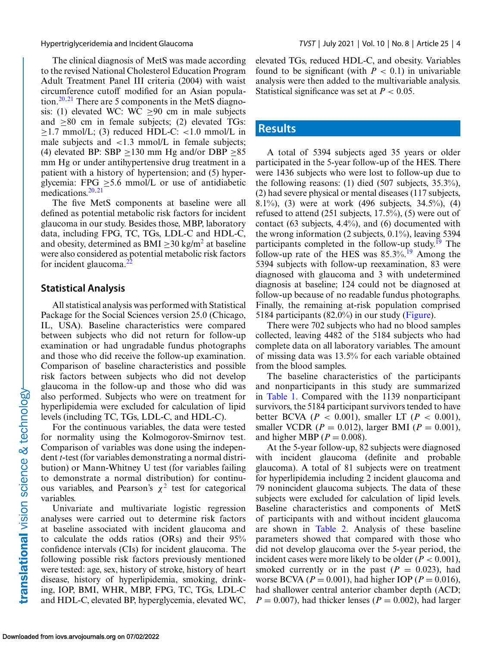The clinical diagnosis of MetS was made according to the revised National Cholesterol Education Program Adult Treatment Panel III criteria (2004) with waist circumference cutoff modified for an Asian population.<sup>20,21</sup> There are 5 components in the MetS diagnosis: (1) elevated WC: WC  $\geq 90$  cm in male subjects and  $\geq 80$  cm in female subjects; (2) elevated TGs:  $\geq$ 1.7 mmol/L; (3) reduced HDL-C: <1.0 mmol/L in male subjects and  $\langle 1.3 \text{ mmol/L} \rangle$  in female subjects; (4) elevated BP: SBP  $\geq$ 130 mm Hg and/or DBP  $\geq$ 85 mm Hg or under antihypertensive drug treatment in a patient with a history of hypertension; and (5) hyperglycemia: FPG  $\geq$ 5.6 mmol/L or use of antidiabetic medications. $20,21$ 

The five MetS components at baseline were all defined as potential metabolic risk factors for incident glaucoma in our study. Besides those, MBP, laboratory data, including FPG, TC, TGs, LDL-C and HDL-C, and obesity, determined as BMI  $>$ 30 kg/m<sup>2</sup> at baseline were also considered as potential metabolic risk factors for incident glaucoma. $^{22}$  $^{22}$  $^{22}$ 

#### **Statistical Analysis**

All statistical analysis was performed with Statistical Package for the Social Sciences version 25.0 (Chicago, IL, USA). Baseline characteristics were compared between subjects who did not return for follow-up examination or had ungradable fundus photographs and those who did receive the follow-up examination. Comparison of baseline characteristics and possible risk factors between subjects who did not develop glaucoma in the follow-up and those who did was also performed. Subjects who were on treatment for hyperlipidemia were excluded for calculation of lipid levels (including TC, TGs, LDL-C, and HDL-C).

For the continuous variables, the data were tested for normality using the Kolmogorov-Smirnov test. Comparison of variables was done using the independent *t*-test (for variables demonstrating a normal distribution) or Mann-Whitney U test (for variables failing to demonstrate a normal distribution) for continuous variables, and Pearson's  $\chi^2$  test for categorical variables.

Univariate and multivariate logistic regression analyses were carried out to determine risk factors at baseline associated with incident glaucoma and to calculate the odds ratios (ORs) and their 95% confidence intervals (CIs) for incident glaucoma. The following possible risk factors previously mentioned were tested: age, sex, history of stroke, history of heart disease, history of hyperlipidemia, smoking, drinking, IOP, BMI, WHR, MBP, FPG, TC, TGs, LDL-C and HDL-C, elevated BP, hyperglycemia, elevated WC,

elevated TGs, reduced HDL-C, and obesity. Variables found to be significant (with  $P < 0.1$ ) in univariable analysis were then added to the multivariable analysis. Statistical significance was set at  $P < 0.05$ .

# **Results**

A total of 5394 subjects aged 35 years or older participated in the 5-year follow-up of the HES. There were 1436 subjects who were lost to follow-up due to the following reasons: (1) died (507 subjects, 35.3%), (2) had severe physical or mental diseases (117 subjects, 8.1%), (3) were at work (496 subjects, 34.5%), (4) refused to attend (251 subjects, 17.5%), (5) were out of contact (63 subjects, 4.4%), and (6) documented with the wrong information (2 subjects, 0.1%), leaving 5394 participants completed in the follow-up study.<sup>[19](#page-9-0)</sup> The follow-up rate of the HES was 85.3%.[19](#page-9-0) Among the 5394 subjects with follow-up reexamination, 83 were diagnosed with glaucoma and 3 with undetermined diagnosis at baseline; 124 could not be diagnosed at follow-up because of no readable fundus photographs. Finally, the remaining at-risk population comprised 5184 participants (82.0%) in our study [\(Figure\)](#page-4-0).

There were 702 subjects who had no blood samples collected, leaving 4482 of the 5184 subjects who had complete data on all laboratory variables. The amount of missing data was 13.5% for each variable obtained from the blood samples.

The baseline characteristics of the participants and nonparticipants in this study are summarized in [Table 1.](#page-5-0) Compared with the 1139 nonparticipant survivors, the 5184 participant survivors tended to have better BCVA ( $P < 0.001$ ), smaller LT ( $P < 0.001$ ), smaller VCDR ( $P = 0.012$ ), larger BMI ( $P = 0.001$ ), and higher MBP ( $P = 0.008$ ).

At the 5-year follow-up, 82 subjects were diagnosed with incident glaucoma (definite and probable glaucoma). A total of 81 subjects were on treatment for hyperlipidemia including 2 incident glaucoma and 79 nonincident glaucoma subjects. The data of these subjects were excluded for calculation of lipid levels. Baseline characteristics and components of MetS of participants with and without incident glaucoma are shown in [Table 2.](#page-6-0) Analysis of these baseline parameters showed that compared with those who did not develop glaucoma over the 5-year period, the incident cases were more likely to be older  $(P < 0.001)$ , smoked currently or in the past  $(P = 0.023)$ , had worse BCVA ( $P = 0.001$ ), had higher IOP ( $P = 0.016$ ), had shallower central anterior chamber depth (ACD;  $P = 0.007$ , had thicker lenses ( $P = 0.002$ ), had larger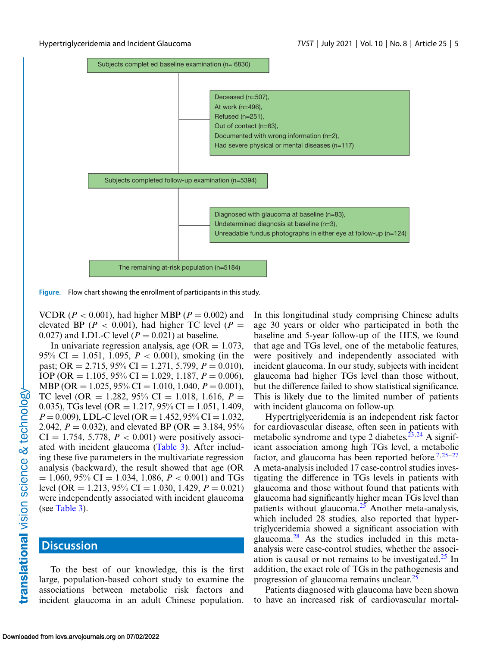<span id="page-4-0"></span>

**Figure.** Flow chart showing the enrollment of participants in this study.

VCDR ( $P < 0.001$ ), had higher MBP ( $P = 0.002$ ) and elevated BP ( $P < 0.001$ ), had higher TC level ( $P =$ 0.027) and LDL-C level  $(P = 0.021)$  at baseline.

In univariate regression analysis, age ( $OR = 1.073$ , 95% CI = 1.051, 1.095, *P* < 0.001), smoking (in the past; OR = 2.715, 95% CI = 1.271, 5.799,  $P = 0.010$ ), IOP (OR = 1.105, 95% CI = 1.029, 1.187, *P* = 0.006), MBP (OR = 1.025, 95% CI = 1.010, 1.040, *P* = 0.001), TC level (OR = 1.282, 95% CI = 1.018, 1.616,  $P =$ 0.035), TGs level (OR = 1.217, 95% CI = 1.051, 1.409,  $P = 0.009$ ), LDL-C level (OR = 1.452, 95% CI = 1.032, 2.042,  $P = 0.032$ ), and elevated BP (OR = 3.184, 95%)  $CI = 1.754, 5.778, P < 0.001$  were positively associated with incident glaucoma [\(Table 3\)](#page-7-0). After including these five parameters in the multivariate regression analysis (backward), the result showed that age (OR  $= 1.060, 95\% \text{ CI} = 1.034, 1.086, P < 0.001$  and TGs level (OR = 1.213, 95% CI = 1.030, 1.429,  $P = 0.021$ ) were independently associated with incident glaucoma (see [Table 3\)](#page-7-0).

#### **Discussion**

To the best of our knowledge, this is the first large, population-based cohort study to examine the associations between metabolic risk factors and incident glaucoma in an adult Chinese population.

In this longitudinal study comprising Chinese adults age 30 years or older who participated in both the baseline and 5-year follow-up of the HES, we found that age and TGs level, one of the metabolic features, were positively and independently associated with incident glaucoma. In our study, subjects with incident glaucoma had higher TGs level than those without, but the difference failed to show statistical significance. This is likely due to the limited number of patients with incident glaucoma on follow-up.

Hypertriglyceridemia is an independent risk factor for cardiovascular disease, often seen in patients with metabolic syndrome and type 2 diabetes.<sup>[23,24](#page-9-0)</sup> A significant association among high TGs level, a metabolic factor, and glaucoma has been reported before.<sup>7,[25–27](#page-9-0)</sup> A meta-analysis included 17 case-control studies investigating the difference in TGs levels in patients with glaucoma and those without found that patients with glaucoma had significantly higher mean TGs level than patients without glaucoma.<sup>25</sup> Another meta-analysis, which included 28 studies, also reported that hypertriglyceridemia showed a significant association with glaucoma[.28](#page-9-0) As the studies included in this metaanalysis were case-control studies, whether the association is causal or not remains to be investigated. $25$  In addition, the exact role of TGs in the pathogenesis and progression of glaucoma remains unclear.<sup>[25](#page-9-0)</sup>

Patients diagnosed with glaucoma have been shown to have an increased risk of cardiovascular mortal-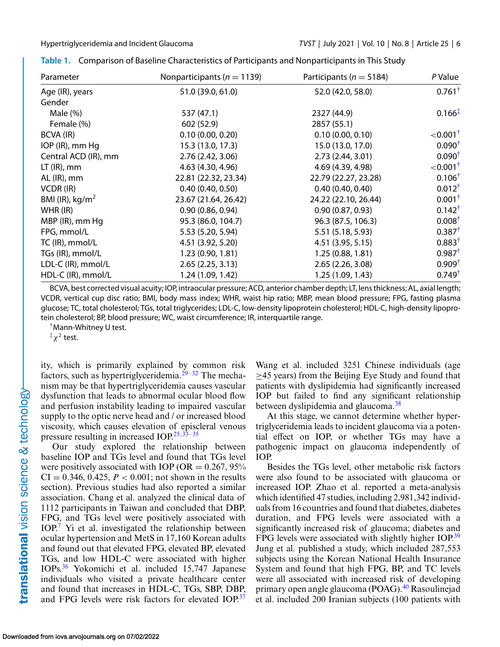| Parameter            | Nonparticipants ( $n = 1139$ ) | Participants ( $n = 5184$ ) | P Value                 |  |
|----------------------|--------------------------------|-----------------------------|-------------------------|--|
| Age (IR), years      | 51.0 (39.0, 61.0)              | 52.0 (42.0, 58.0)           | $0.761^{\dagger}$       |  |
| Gender               |                                |                             |                         |  |
| Male $(\%)$          | 537 (47.1)                     | 2327 (44.9)                 | $0.166^{\ddagger}$      |  |
| Female (%)           | 602 (52.9)                     | 2857 (55.1)                 |                         |  |
| BCVA (IR)            | 0.10(0.00, 0.20)               | 0.10(0.00, 0.10)            | ${<}0.001$ <sup>†</sup> |  |
| IOP (IR), mm Hq      | 15.3 (13.0, 17.3)              | 15.0 (13.0, 17.0)           | $0.090^{\dagger}$       |  |
| Central ACD (IR), mm | 2.76 (2.42, 3.06)              | 2.73 (2.44, 3.01)           | $0.090^{\dagger}$       |  |
| $LT$ (IR), mm        | 4.63 (4.30, 4.96)              | 4.69 (4.39, 4.98)           | ${<}0.001$ <sup>†</sup> |  |
| $AL$ (IR), mm        | 22.81 (22.32, 23.34)           | 22.79 (22.27, 23.28)        | $0.106^{\dagger}$       |  |
| VCDR (IR)            | 0.40(0.40, 0.50)               | 0.40(0.40, 0.40)            | $0.012^{\dagger}$       |  |
| BMI (IR), $kg/m2$    | 23.67 (21.64, 26.42)           | 24.22 (22.10, 26.44)        | $0.001^{\dagger}$       |  |
| $WHR$ (IR)           | 0.90(0.86, 0.94)               | 0.90(0.87, 0.93)            | $0.142^{\dagger}$       |  |
| MBP (IR), mm Hg      | 95.3 (86.0, 104.7)             | 96.3 (87.5, 106.3)          | $0.008^{\dagger}$       |  |
| FPG, mmol/L          | 5.53 (5.20, 5.94)              | 5.51 (5.18, 5.93)           | $0.387^{\dagger}$       |  |
| TC (IR), mmol/L      | 4.51 (3.92, 5.20)              | 4.51 (3.95, 5.15)           | $0.883^{\dagger}$       |  |
| TGs (IR), mmol/L     | 1.23 (0.90, 1.81)              | 1.25(0.88, 1.81)            | $0.987^{\dagger}$       |  |
| LDL-C (IR), mmol/L   | 2.65(2.25, 3.13)               | 2.65 (2.26, 3.08)           | $0.909^{\dagger}$       |  |
| HDL-C (IR), mmol/L   | 1.24 (1.09, 1.42)              | 1.25 (1.09, 1.43)           | $0.749^{\dagger}$       |  |

<span id="page-5-0"></span>

| Table 1. Comparison of Baseline Characteristics of Participants and Nonparticipants in This Study |  |  |
|---------------------------------------------------------------------------------------------------|--|--|
|                                                                                                   |  |  |

BCVA, best corrected visual acuity; IOP, intraocular pressure; ACD, anterior chamber depth; LT, lens thickness; AL, axial length; VCDR, vertical cup disc ratio; BMI, body mass index; WHR, waist hip ratio; MBP, mean blood pressure; FPG, fasting plasma glucose; TC, total cholesterol; TGs, total triglycerides; LDL-C, low-density lipoprotein cholesterol; HDL-C, high-density lipoprotein cholesterol; BP, blood pressure; WC, waist circumference; IR, interquartile range.

†Mann-Whitney U test.

 $\sqrt[{\frac{1}{2}} \chi^2$  test.

ity, which is primarily explained by common risk factors, such as hypertriglyceridemia.<sup>[29–32](#page-9-0)</sup> The mechanism may be that hypertriglyceridemia causes vascular dysfunction that leads to abnormal ocular blood flow and perfusion instability leading to impaired vascular supply to the optic nerve head and / or increased blood viscosity, which causes elevation of episcleral venous pressure resulting in increased IOP. $25,33-35$ 

Our study explored the relationship between baseline IOP and TGs level and found that TGs level were positively associated with IOP (OR  $= 0.267, 95\%$  $CI = 0.346, 0.425, P < 0.001$ ; not shown in the results section). Previous studies had also reported a similar association. Chang et al. analyzed the clinical data of 1112 participants in Taiwan and concluded that DBP, FPG, and TGs level were positively associated with IOP[.7](#page-8-0) Yi et al. investigated the relationship between ocular hypertension and MetS in 17,160 Korean adults and found out that elevated FPG, elevated BP, elevated TGs, and low HDL-C were associated with higher IOPs.[36](#page-9-0) Yokomichi et al. included 15,747 Japanese individuals who visited a private healthcare center and found that increases in HDL-C, TGs, SBP, DBP, and FPG levels were risk factors for elevated IOP.<sup>[37](#page-9-0)</sup>

Wang et al. included 3251 Chinese individuals (age  $\geq$ 45 years) from the Beijing Eye Study and found that patients with dyslipidemia had significantly increased IOP but failed to find any significant relationship between dyslipidemia and glaucoma.<sup>[38](#page-9-0)</sup>

At this stage, we cannot determine whether hypertriglyceridemia leads to incident glaucoma via a potential effect on IOP, or whether TGs may have a pathogenic impact on glaucoma independently of IOP.

Besides the TGs level, other metabolic risk factors were also found to be associated with glaucoma or increased IOP. Zhao et al. reported a meta-analysis which identified 47 studies, including 2,981,342 individuals from 16 countries and found that diabetes, diabetes duration, and FPG levels were associated with a significantly increased risk of glaucoma; diabetes and FPG levels were associated with slightly higher IOP.<sup>[39](#page-9-0)</sup> Jung et al. published a study, which included 287,553 subjects using the Korean National Health Insurance System and found that high FPG, BP, and TC levels were all associated with increased risk of developing primary open angle glaucoma (POAG).<sup>[40](#page-9-0)</sup> Rasoulinejad et al. included 200 Iranian subjects (100 patients with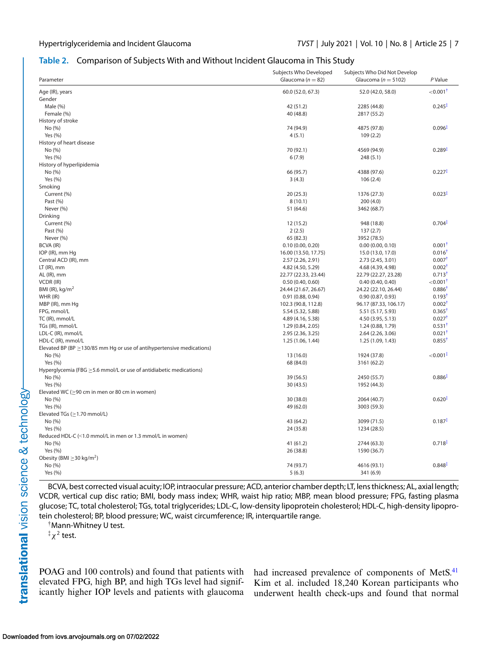#### <span id="page-6-0"></span>**Table 2.** Comparison of Subjects With and Without Incident Glaucoma in This Study

| Parameter                                                                   | Subjects Who Developed<br>Glaucoma ( $n = 82$ ) | Subjects Who Did Not Develop<br>Glaucoma ( $n = 5102$ ) | P Value                |
|-----------------------------------------------------------------------------|-------------------------------------------------|---------------------------------------------------------|------------------------|
|                                                                             |                                                 |                                                         |                        |
| Age (IR), years                                                             | 60.0 (52.0, 67.3)                               | 52.0 (42.0, 58.0)                                       | $<$ 0.001 $^{\dagger}$ |
| Gender                                                                      |                                                 |                                                         | $0.245^{\ddagger}$     |
| Male $(\%)$                                                                 | 42 (51.2)                                       | 2285 (44.8)                                             |                        |
| Female (%)                                                                  | 40 (48.8)                                       | 2817 (55.2)                                             |                        |
| History of stroke                                                           |                                                 |                                                         |                        |
| No (%)                                                                      | 74 (94.9)                                       | 4875 (97.8)                                             | $0.096^{\ddagger}$     |
| Yes (%)                                                                     | 4(5.1)                                          | 109(2.2)                                                |                        |
| History of heart disease                                                    |                                                 |                                                         |                        |
| No (%)                                                                      | 70 (92.1)                                       | 4569 (94.9)                                             | $0.289*$               |
| Yes (%)                                                                     | 6(7.9)                                          | 248(5.1)                                                |                        |
| History of hyperlipidemia                                                   |                                                 |                                                         |                        |
| No (%)                                                                      | 66 (95.7)                                       | 4388 (97.6)                                             | $0.227^{\ddagger}$     |
| Yes (%)                                                                     | 3(4.3)                                          | 106(2.4)                                                |                        |
| Smoking                                                                     |                                                 |                                                         |                        |
| Current (%)                                                                 | 20(25.3)                                        | 1376 (27.3)                                             | $0.023*$               |
| Past (%)                                                                    | 8(10.1)                                         | 200 (4.0)                                               |                        |
| Never (%)                                                                   | 51 (64.6)                                       | 3462 (68.7)                                             |                        |
| Drinking                                                                    |                                                 |                                                         |                        |
| Current (%)                                                                 | 12 (15.2)                                       | 948 (18.8)                                              | $0.704*$               |
| Past (%)                                                                    | 2(2.5)                                          | 137(2.7)                                                |                        |
| Never (%)                                                                   | 65 (82.3)                                       | 3952 (78.5)                                             |                        |
| BCVA (IR)                                                                   | 0.10(0.00, 0.20)                                | 0.00(0.00, 0.10)                                        | $0.001^{\dagger}$      |
| IOP (IR), mm Hg                                                             | 16.00 (13.50, 17.75)                            | 15.0 (13.0, 17.0)                                       | $0.016^{\dagger}$      |
| Central ACD (IR), mm                                                        | 2.57 (2.26, 2.91)                               | 2.73 (2.45, 3.01)                                       | $0.007^{\dagger}$      |
| $LT$ (IR), mm                                                               | 4.82 (4.50, 5.29)                               | 4.68 (4.39, 4.98)                                       | $0.002^{\dagger}$      |
| AL (IR), mm                                                                 | 22.77 (22.33, 23.44)                            | 22.79 (22.27, 23.28)                                    | $0.713^{\dagger}$      |
| VCDR (IR)                                                                   | 0.50(0.40, 0.60)                                | 0.40(0.40, 0.40)                                        | $<$ 0.001 $^{\dagger}$ |
| BMI (IR), $kg/m2$                                                           | 24.44 (21.67, 26.67)                            | 24.22 (22.10, 26.44)                                    | $0.886^{\dagger}$      |
| WHR (IR)                                                                    | 0.91(0.88, 0.94)                                | 0.90(0.87, 0.93)                                        | $0.193^{\dagger}$      |
| MBP (IR), mm Hq                                                             | 102.3 (90.8, 112.8)                             | 96.17 (87.33, 106.17)                                   | $0.002^{\dagger}$      |
| FPG, mmol/L                                                                 | 5.54 (5.32, 5.88)                               | 5.51 (5.17, 5.93)                                       | $0.365$ <sup>†</sup>   |
| TC (IR), mmol/L                                                             | 4.89 (4.16, 5.38)                               | 4.50 (3.95, 5.13)                                       | $0.027$ <sup>t</sup>   |
| TGs (IR), mmol/L                                                            | 1.29 (0.84, 2.05)                               | 1.24 (0.88, 1.79)                                       | $0.531^{\dagger}$      |
| LDL-C (IR), mmol/L                                                          | 2.95 (2.36, 3.25)                               | 2.64 (2.26, 3.06)                                       | $0.021$ <sup>†</sup>   |
| HDL-C (IR), mmol/L                                                          | 1.25 (1.06, 1.44)                               | 1.25 (1.09, 1.43)                                       | $0.855^{\dagger}$      |
| Elevated BP (BP $\geq$ 130/85 mm Hg or use of antihypertensive medications) |                                                 |                                                         |                        |
| No (%)                                                                      | 13 (16.0)                                       | 1924 (37.8)                                             | $<$ 0.001 $\ddagger$   |
| Yes (%)                                                                     | 68 (84.0)                                       | 3161 (62.2)                                             |                        |
| Hyperglycemia (FBG $\geq$ 5.6 mmol/L or use of antidiabetic medications)    |                                                 |                                                         |                        |
| No (%)                                                                      | 39 (56.5)                                       | 2450 (55.7)                                             | $0.886$ <sup>+</sup>   |
| Yes (%)                                                                     | 30 (43.5)                                       | 1952 (44.3)                                             |                        |
| Elevated WC ( $\geq$ 90 cm in men or 80 cm in women)                        |                                                 |                                                         |                        |
| No (%)                                                                      | 30 (38.0)                                       | 2064 (40.7)                                             | $0.620*$               |
| Yes (%)                                                                     | 49 (62.0)                                       | 3003 (59.3)                                             |                        |
| Elevated TGs ( $\geq$ 1.70 mmol/L)                                          |                                                 |                                                         |                        |
| No (%)                                                                      | 43 (64.2)                                       | 3099 (71.5)                                             | $0.187^{\ddagger}$     |
| Yes (%)                                                                     | 24 (35.8)                                       | 1234 (28.5)                                             |                        |
| Reduced HDL-C (<1.0 mmol/L in men or 1.3 mmol/L in women)                   |                                                 |                                                         |                        |
| No (%)                                                                      | 41 (61.2)                                       | 2744 (63.3)                                             | $0.718^{1}$            |
| Yes (%)                                                                     | 26 (38.8)                                       | 1590 (36.7)                                             |                        |
| Obesity (BMI $\geq$ 30 kg/m <sup>2</sup> )                                  |                                                 |                                                         |                        |
| No (%)                                                                      | 74 (93.7)                                       | 4616 (93.1)                                             | $0.848$ <sup>T</sup>   |
| Yes (%)                                                                     | 5(6.3)                                          | 341 (6.9)                                               |                        |

BCVA, best corrected visual acuity; IOP, intraocular pressure; ACD, anterior chamber depth; LT, lens thickness; AL, axial length; VCDR, vertical cup disc ratio; BMI, body mass index; WHR, waist hip ratio; MBP, mean blood pressure; FPG, fasting plasma glucose; TC, total cholesterol; TGs, total triglycerides; LDL-C, low-density lipoprotein cholesterol; HDL-C, high-density lipoprotein cholesterol; BP, blood pressure; WC, waist circumference; IR, interquartile range.

†Mann-Whitney U test.

 $\frac{1}{4} \chi^2$  test.

POAG and 100 controls) and found that patients with elevated FPG, high BP, and high TGs level had significantly higher IOP levels and patients with glaucoma had increased prevalence of components of MetS.<sup>[41](#page-9-0)</sup> Kim et al. included 18,240 Korean participants who underwent health check-ups and found that normal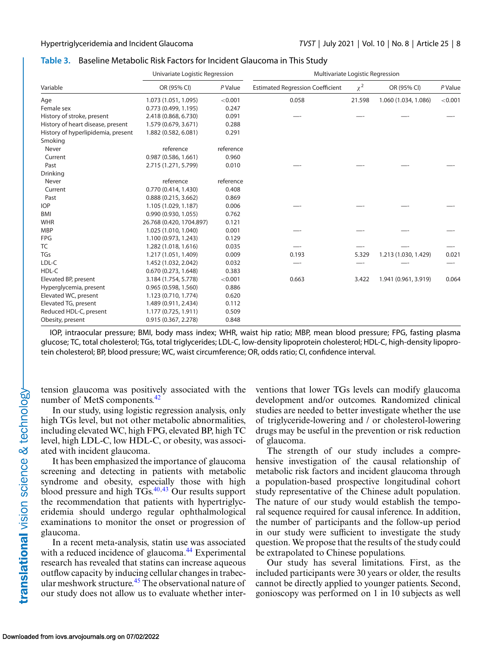#### <span id="page-7-0"></span>**Table 3.** Baseline Metabolic Risk Factors for Incident Glaucoma in This Study

|                                    | Univariate Logistic Regression |           | Multivariate Logistic Regression        |          |                      |         |
|------------------------------------|--------------------------------|-----------|-----------------------------------------|----------|----------------------|---------|
| Variable                           | OR (95% CI)                    | P Value   | <b>Estimated Regression Coefficient</b> | $\chi^2$ | OR (95% CI)          | P Value |
| Age                                | 1.073 (1.051, 1.095)           | < 0.001   | 0.058                                   | 21.598   | 1.060 (1.034, 1.086) | < 0.001 |
| Female sex                         | 0.773(0.499, 1.195)            | 0.247     |                                         |          |                      |         |
| History of stroke, present         | 2.418 (0.868, 6.730)           | 0.091     |                                         |          |                      |         |
| History of heart disease, present  | 1.579 (0.679, 3.671)           | 0.288     |                                         |          |                      |         |
| History of hyperlipidemia, present | 1.882 (0.582, 6.081)           | 0.291     |                                         |          |                      |         |
| Smoking                            |                                |           |                                         |          |                      |         |
| Never                              | reference                      | reference |                                         |          |                      |         |
| Current                            | 0.987(0.586, 1.661)            | 0.960     |                                         |          |                      |         |
| Past                               | 2.715 (1.271, 5.799)           | 0.010     |                                         |          |                      |         |
| Drinking                           |                                |           |                                         |          |                      |         |
| Never                              | reference                      | reference |                                         |          |                      |         |
| Current                            | 0.770 (0.414, 1.430)           | 0.408     |                                         |          |                      |         |
| Past                               | 0.888(0.215, 3.662)            | 0.869     |                                         |          |                      |         |
| <b>IOP</b>                         | 1.105 (1.029, 1.187)           | 0.006     |                                         |          |                      |         |
| <b>BMI</b>                         | 0.990(0.930, 1.055)            | 0.762     |                                         |          |                      |         |
| <b>WHR</b>                         | 26.768 (0.420, 1704.897)       | 0.121     |                                         |          |                      |         |
| <b>MBP</b>                         | 1.025 (1.010, 1.040)           | 0.001     |                                         |          |                      |         |
| <b>FPG</b>                         | 1.100 (0.973, 1.243)           | 0.129     |                                         |          |                      |         |
| <b>TC</b>                          | 1.282 (1.018, 1.616)           | 0.035     |                                         |          |                      |         |
| TGs                                | 1.217 (1.051, 1.409)           | 0.009     | 0.193                                   | 5.329    | 1.213 (1.030, 1.429) | 0.021   |
| LDL-C                              | 1.452 (1.032, 2.042)           | 0.032     |                                         |          |                      |         |
| HDL-C                              | 0.670(0.273, 1.648)            | 0.383     |                                         |          |                      |         |
| Elevated BP, present               | 3.184 (1.754, 5.778)           | < 0.001   | 0.663                                   | 3.422    | 1.941 (0.961, 3.919) | 0.064   |
| Hyperglycemia, present             | 0.965(0.598, 1.560)            | 0.886     |                                         |          |                      |         |
| Elevated WC, present               | 1.123 (0.710, 1.774)           | 0.620     |                                         |          |                      |         |
| Elevated TG, present               | 1.489 (0.911, 2.434)           | 0.112     |                                         |          |                      |         |
| Reduced HDL-C, present             | 1.177 (0.725, 1.911)           | 0.509     |                                         |          |                      |         |
| Obesity, present                   | 0.915 (0.367, 2.278)           | 0.848     |                                         |          |                      |         |

IOP, intraocular pressure; BMI, body mass index; WHR, waist hip ratio; MBP, mean blood pressure; FPG, fasting plasma glucose; TC, total cholesterol; TGs, total triglycerides; LDL-C, low-density lipoprotein cholesterol; HDL-C, high-density lipoprotein cholesterol; BP, blood pressure; WC, waist circumference; OR, odds ratio; CI, confidence interval.

tension glaucoma was positively associated with the number of MetS components.<sup>[42](#page-9-0)</sup>

In our study, using logistic regression analysis, only high TGs level, but not other metabolic abnormalities, including elevated WC, high FPG, elevated BP, high TC level, high LDL-C, low HDL-C, or obesity, was associated with incident glaucoma.

It has been emphasized the importance of glaucoma screening and detecting in patients with metabolic syndrome and obesity, especially those with high blood pressure and high  $T\dot{G}$ s.<sup>40,[43](#page-10-0)</sup> Our results support the recommendation that patients with hypertriglyceridemia should undergo regular ophthalmological examinations to monitor the onset or progression of glaucoma.

In a recent meta-analysis, statin use was associated with a reduced incidence of glaucoma.<sup>[44](#page-10-0)</sup> Experimental research has revealed that statins can increase aqueous outflow capacity by inducing cellular changes in trabecular meshwork structure.[45](#page-10-0) The observational nature of our study does not allow us to evaluate whether interventions that lower TGs levels can modify glaucoma development and/or outcomes. Randomized clinical studies are needed to better investigate whether the use of triglyceride-lowering and / or cholesterol-lowering drugs may be useful in the prevention or risk reduction of glaucoma.

The strength of our study includes a comprehensive investigation of the causal relationship of metabolic risk factors and incident glaucoma through a population-based prospective longitudinal cohort study representative of the Chinese adult population. The nature of our study would establish the temporal sequence required for causal inference. In addition, the number of participants and the follow-up period in our study were sufficient to investigate the study question. We propose that the results of the study could be extrapolated to Chinese populations.

Our study has several limitations. First, as the included participants were 30 years or older, the results cannot be directly applied to younger patients. Second, gonioscopy was performed on 1 in 10 subjects as well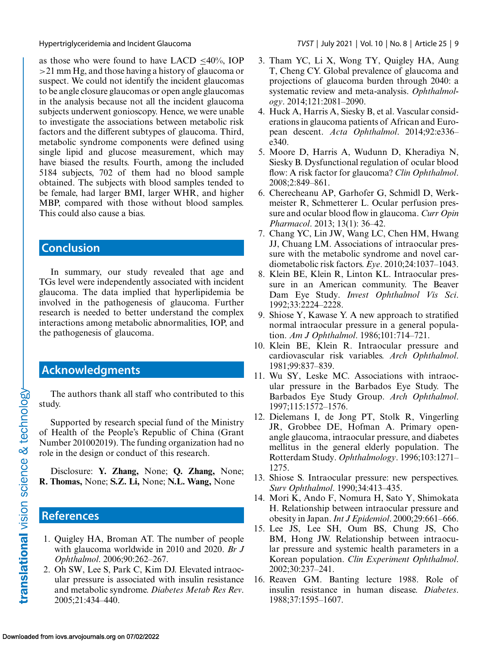as those who were found to have LACD  $\leq 40\%$ , IOP >21 mm Hg, and those having a history of glaucoma or suspect. We could not identify the incident glaucomas to be angle closure glaucomas or open angle glaucomas in the analysis because not all the incident glaucoma subjects underwent gonioscopy. Hence, we were unable to investigate the associations between metabolic risk factors and the different subtypes of glaucoma. Third, metabolic syndrome components were defined using single lipid and glucose measurement, which may have biased the results. Fourth, among the included 5184 subjects, 702 of them had no blood sample obtained. The subjects with blood samples tended to be female, had larger BMI, larger WHR, and higher MBP, compared with those without blood samples. This could also cause a bias.

# **Conclusion**

In summary, our study revealed that age and TGs level were independently associated with incident glaucoma. The data implied that hyperlipidemia be involved in the pathogenesis of glaucoma. Further research is needed to better understand the complex interactions among metabolic abnormalities, IOP, and the pathogenesis of glaucoma.

# **Acknowledgments**

The authors thank all staff who contributed to this study.

Supported by research special fund of the Ministry of Health of the People's Republic of China (Grant Number 201002019). The funding organization had no role in the design or conduct of this research.

Disclosure: **Y. Zhang,** None; **Q. Zhang,** None; **R. Thomas,** None; **S.Z. Li,** None; **N.L. Wang,** None

## **References**

- 1. Quigley HA, Broman AT. The number of people with glaucoma worldwide in 2010 and 2020. *Br J Ophthalmol*. 2006;90:262–267.
- 2. Oh SW, Lee S, Park C, Kim DJ. Elevated intraocular pressure is associated with insulin resistance and metabolic syndrome. *Diabetes Metab Res Rev*. 2005;21:434–440.

<span id="page-8-0"></span>Hypertriglyceridemia and Incident Glaucoma *TVST* | July 2021 | Vol. 10 | No. 8 | Article 25 | 9

- 3. Tham YC, Li X, Wong TY, Quigley HA, Aung T, Cheng CY. Global prevalence of glaucoma and projections of glaucoma burden through 2040: a systematic review and meta-analysis. *Ophthalmology*. 2014;121:2081–2090.
- 4. Huck A, Harris A, Siesky B, et al. Vascular considerations in glaucoma patients of African and European descent. *Acta Ophthalmol*. 2014;92:e336– e340.
- 5. Moore D, Harris A, Wudunn D, Kheradiya N, Siesky B. Dysfunctional regulation of ocular blood flow: A risk factor for glaucoma? *Clin Ophthalmol*. 2008;2:849–861.
- 6. Cherecheanu AP, Garhofer G, Schmidl D, Werkmeister R, Schmetterer L. Ocular perfusion pressure and ocular blood flow in glaucoma. *Curr Opin Pharmacol*. 2013; 13(1): 36–42.
- 7. Chang YC, Lin JW, Wang LC, Chen HM, Hwang JJ, Chuang LM. Associations of intraocular pressure with the metabolic syndrome and novel cardiometabolic risk factors. *Eye*. 2010;24:1037–1043.
- 8. Klein BE, Klein R, Linton KL. Intraocular pressure in an American community. The Beaver Dam Eye Study. *Invest Ophthalmol Vis Sci*. 1992;33:2224–2228.
- 9. Shiose Y, Kawase Y. A new approach to stratified normal intraocular pressure in a general population. *Am J Ophthalmol*. 1986;101:714–721.
- 10. Klein BE, Klein R. Intraocular pressure and cardiovascular risk variables. *Arch Ophthalmol*. 1981;99:837–839.
- 11. Wu SY, Leske MC. Associations with intraocular pressure in the Barbados Eye Study. The Barbados Eye Study Group. *Arch Ophthalmol*. 1997;115:1572–1576.
- 12. Dielemans I, de Jong PT, Stolk R, Vingerling JR, Grobbee DE, Hofman A. Primary openangle glaucoma, intraocular pressure, and diabetes mellitus in the general elderly population. The Rotterdam Study. *Ophthalmology*. 1996;103:1271– 1275.
- 13. Shiose S. Intraocular pressure: new perspectives. *Surv Ophthalmol*. 1990;34:413–435.
- 14. Mori K, Ando F, Nomura H, Sato Y, Shimokata H. Relationship between intraocular pressure and obesity in Japan.*Int J Epidemiol*. 2000;29:661–666.
- 15. Lee JS, Lee SH, Oum BS, Chung JS, Cho BM, Hong JW. Relationship between intraocular pressure and systemic health parameters in a Korean population. *Clin Experiment Ophthalmol*. 2002;30:237–241.
- 16. Reaven GM. Banting lecture 1988. Role of insulin resistance in human disease. *Diabetes*. 1988;37:1595–1607.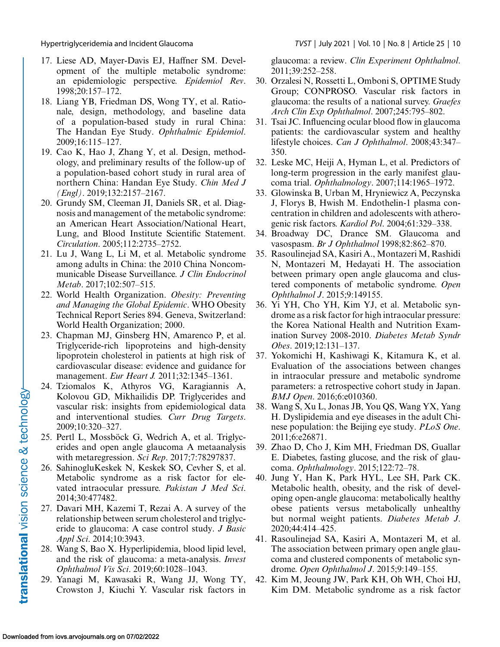<span id="page-9-0"></span>

- 17. Liese AD, Mayer-Davis EJ, Haffner SM. Development of the multiple metabolic syndrome: an epidemiologic perspective. *Epidemiol Rev*. 1998;20:157–172.
- 18. Liang YB, Friedman DS, Wong TY, et al. Rationale, design, methodology, and baseline data of a population-based study in rural China: The Handan Eye Study. *Ophthalmic Epidemiol*. 2009;16:115–127.
- 19. Cao K, Hao J, Zhang Y, et al. Design, methodology, and preliminary results of the follow-up of a population-based cohort study in rural area of northern China: Handan Eye Study. *Chin Med J (Engl)*. 2019;132:2157–2167.
- 20. Grundy SM, Cleeman JI, Daniels SR, et al. Diagnosis and management of the metabolic syndrome: an American Heart Association/National Heart, Lung, and Blood Institute Scientific Statement. *Circulation*. 2005;112:2735–2752.
- 21. Lu J, Wang L, Li M, et al. Metabolic syndrome among adults in China: the 2010 China Noncommunicable Disease Surveillance. *J Clin Endocrinol Metab*. 2017;102:507–515.
- 22. World Health Organization. *Obesity: Preventing and Managing the Global Epidemic*. WHO Obesity Technical Report Series 894. Geneva, Switzerland: World Health Organization; 2000.
- 23. Chapman MJ, Ginsberg HN, Amarenco P, et al. Triglyceride-rich lipoproteins and high-density lipoprotein cholesterol in patients at high risk of cardiovascular disease: evidence and guidance for management. *Eur Heart J.* 2011;32:1345–1361.
- 24. Tziomalos K, Athyros VG, Karagiannis A, Kolovou GD, Mikhailidis DP. Triglycerides and vascular risk: insights from epidemiological data and interventional studies. *Curr Drug Targets*. 2009;10:320–327.
- 25. Pertl L, Mossböck G, Wedrich A, et al. Triglycerides and open angle glaucoma A metaanalysis with metaregression. *Sci Rep*. 2017;7:78297837.
- 26. SahinogluKeskek N, Keskek SO, Cevher S, et al. Metabolic syndrome as a risk factor for elevated intraocular pressure. *Pakistan J Med Sci*. 2014;30:477482.
- 27. Davari MH, Kazemi T, Rezai A. A survey of the relationship between serum cholesterol and triglyceride to glaucoma: A case control study. *J Basic Appl Sci*. 2014;10:3943.
- 28. Wang S, Bao X. Hyperlipidemia, blood lipid level, and the risk of glaucoma: a meta-analysis. *Invest Ophthalmol Vis Sci*. 2019;60:1028–1043.
- 29. Yanagi M, Kawasaki R, Wang JJ, Wong TY, Crowston J, Kiuchi Y. Vascular risk factors in

glaucoma: a review. *Clin Experiment Ophthalmol*. 2011;39:252–258.

- 30. Orzalesi N, Rossetti L, Omboni S, OPTIME Study Group; CONPROSO. Vascular risk factors in glaucoma: the results of a national survey. *Graefes Arch Clin Exp Ophthalmol*. 2007;245:795–802.
- 31. Tsai JC. Influencing ocular blood flow in glaucoma patients: the cardiovascular system and healthy lifestyle choices. *Can J Ophthalmol*. 2008;43:347– 350.
- 32. Leske MC, Heiji A, Hyman L, et al. Predictors of long-term progression in the early manifest glaucoma trial. *Ophthalmology*. 2007;114:1965–1972.
- 33. Glowinska B, Urban M, Hryniewicz A, Peczynska J, Florys B, Hwish M. Endothelin-1 plasma concentration in children and adolescents with atherogenic risk factors. *Kardiol Pol*. 2004;61:329–338.
- 34. Broadway DC, Drance SM. Glaucoma and vasospasm. *Br J Ophthalmol* 1998;82:862–870.
- 35. Rasoulinejad SA, Kasiri A., Montazeri M, Rashidi N, Montazeri M, Hedayati H. The association between primary open angle glaucoma and clustered components of metabolic syndrome. *Open Ophthalmol J*. 2015;9:149155.
- 36. Yi YH, Cho YH, Kim YJ, et al. Metabolic syndrome as a risk factor for high intraocular pressure: the Korea National Health and Nutrition Examination Survey 2008-2010. *Diabetes Metab Syndr Obes*. 2019;12:131–137.
- 37. Yokomichi H, Kashiwagi K, Kitamura K, et al. Evaluation of the associations between changes in intraocular pressure and metabolic syndrome parameters: a retrospective cohort study in Japan. *BMJ Open*. 2016;6:e010360.
- 38. Wang S, Xu L, Jonas JB, You QS, Wang YX, Yang H. Dyslipidemia and eye diseases in the adult Chinese population: the Beijing eye study. *PLoS One*. 2011;6:e26871.
- 39. Zhao D, Cho J, Kim MH, Friedman DS, Guallar E. Diabetes, fasting glucose, and the risk of glaucoma. *Ophthalmology*. 2015;122:72–78.
- 40. Jung Y, Han K, Park HYL, Lee SH, Park CK. Metabolic health, obesity, and the risk of developing open-angle glaucoma: metabolically healthy obese patients versus metabolically unhealthy but normal weight patients. *Diabetes Metab J*. 2020;44:414–425.
- 41. Rasoulinejad SA, Kasiri A, Montazeri M, et al. The association between primary open angle glaucoma and clustered components of metabolic syndrome. *Open Ophthalmol J*. 2015;9:149–155.
- 42. Kim M, Jeoung JW, Park KH, Oh WH, Choi HJ, Kim DM. Metabolic syndrome as a risk factor